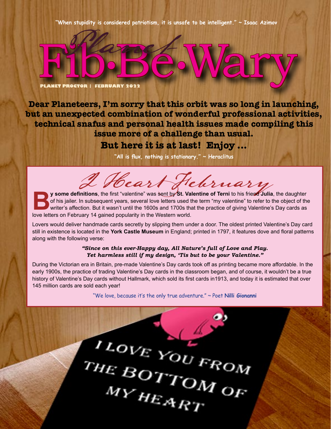**"When stupidity is considered patriotism, it is unsafe to be intelligent." ~ Isaac Azimov**

Fill **PLANET PROCTOR | FEBRUARY 2022** ·Pe·Wary

Planet

**Dear Planeteers, I'm sorry that this orbit was so long in launching, but an unexpected combination of wonderful professional activities, technical snafus and personal health issues made compiling this issue more of a challenge than usual.**

**But here it is at last! Enjoy ...**

**"All is flux, nothing is stationary." ~ Heraclitus**

I Heart February

**By** some definitions, the first "valentine" was sent by St. Valentine of Terni to his friend Julia, the daughter of his jailer. In subsequent years, several love letters used the term "my valentine" to refer to the obje of his jailer. In subsequent years, several love letters used the term "my valentine" to refer to the object of the writer's affection. But it wasn't until the 1600s and 1700s that the practice of giving Valentine's Day cards as love letters on February 14 gained popularity in the Western world.

Lovers would deliver handmade cards secretly by slipping them under a door. The oldest printed Valentine's Day card still in existence is located in the **York Castle Museum** in England; printed in 1797, it features dove and floral patterns along with the following verse:

> *"Since on this ever-Happy day, All Nature's full of Love and Play. Yet harmless still if my design, 'Tis but to be your Valentine."*

During the Victorian era in Britain, pre-made Valentine's Day cards took off as printing became more affordable. In the early 1900s, the practice of trading Valentine's Day cards in the classroom began, and of course, it wouldn't be a true history of Valentine's Day cards without Hallmark, which sold its first cards in1913, and today it is estimated that over 145 million cards are sold each year!

"We love, because it's the only true adventure." ~ Poet **Nilli Gionanni**

ILOVE YOU FROM MY HEART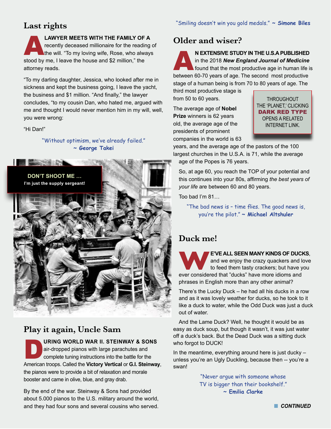# **Last rights**

**LAWYER MEETS WITH THE FAMILY OF A**<br>recently deceased millionaire for the reading of<br>the will. "To my loving wife, Rose, who always recently deceased millionaire for the reading of stood by me, I leave the house and \$2 million," the attorney reads.

"To my darling daughter, Jessica, who looked after me in sickness and kept the business going, I leave the yacht, the business and \$1 million. "And finally," the lawyer concludes, "to my cousin Dan, who hated me, argued with me and thought I would never mention him in my will, well, you were wrong:

#### "Hi Dan!"

"Without optimism, we've already failed." **~ George Takei**



# **Play it again, Uncle Sam**

**DRING WORLD WAR II. STEINWAY & SONS**<br>
air-dropped pianos with large parachutes and<br>
complete tuning instructions into the battle for the<br>
American frame Collecting Matter Matter of L. Ottimus air-dropped pianos with large parachutes and American troops. Called the **Victory Vertical** or **G.I. Steinway**, the pianos were to provide a bit of relaxation and morale booster and came in olive, blue, and gray drab.

By the end of the war. Steinway & Sons had provided about 5.000 pianos to the U.S. military around the world, and they had four sons and several cousins who served.

# **Older and wiser?**

**AN EXTENSIVE STUDY IN THE U.S.A PUBLISHED**<br>found that the most productive age in human life is<br>between 60.70 years of one. The second meet productive in the 2018 *New England Journal of Medicine* between 60-70 years of age. The second most productive stage of a human being is from 70 to 80 years of age. The

third most productive stage is from 50 to 60 years.

The average age of **Nobel Prize** winners is 62 years old, the average age of the presidents of prominent companies in the world is 63

**THROUGHOUT** THE 'PLANET,' CLICKING DARK RED TYPE OPENS A RELATED INTERNET LINK.

years, and the average age of the pastors of the 100 largest churches in the U.S.A. is 71, while the average age of the Popes is 76 years.

So, at age 60, you reach the TOP of your potential and this continues into your 80s, affirming *the best years of your life* are between 60 and 80 years.

Too bad I'm 81…

"The bad news is – time flies. The good news is, you're the pilot." **~ Michael Altshuler**

## **Duck me!**

**WE'VE ALL SEEN MANY KINDS OF DUCKS**, and we enjoy the crazy quackers and love to feed them tasty crackers; but have you ever considered that "ducks" have more idioms and and we enjoy the crazy quackers and love to feed them tasty crackers; but have you phrases in English more than any other animal?

There's the Lucky Duck – he had all his ducks in a row and as it was lovely weather for ducks, so he took to it like a duck to water, while the Odd Duck was just a duck out of water.

And the Lame Duck? Well, he thought it would be as easy as duck soup, but though it wasn't, it was just water off a duck's back. But the Dead Duck was a sitting duck who forgot to DUCK!

In the meantime, everything around here is just ducky  $$ unless you're an Ugly Duckling, because then -- you're a swan!

> "Never argue with someone whose TV is bigger than their bookshelf." **~ Emilia Clarke**

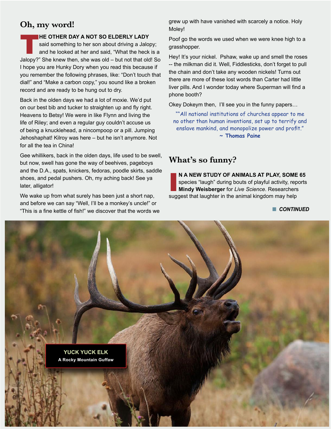# **Oh, my word!**

#### **HE OTHER DAY A NOT SO ELDERLY LADY**

said something to her son about driving a Jalopy; and he looked at her and said, "What the heck is a Jalopy?" She knew then, she was old – but not that old! So I hope you are Hunky Dory when you read this because if you remember the following phrases, like: "Don't touch that dial!" and "Make a carbon copy," you sound like a broken record and are ready to be hung out to dry.

Back in the olden days we had a lot of moxie. We'd put on our best bib and tucker to straighten up and fly right. Heavens to Betsy! We were in like Flynn and living the life of Riley; and even a regular guy couldn't accuse us of being a knucklehead, a nincompoop or a pill. Jumping Jehoshaphat! Kilroy was here – but he isn't anymore. Not for all the tea in China!

Gee whillikers, back in the olden days, life used to be swell, but now, swell has gone the way of beehives, pageboys and the D.A., spats, knickers, fedoras, poodle skirts, saddle shoes, and pedal pushers. Oh, my aching back! See ya later, alligator!

We wake up from what surely has been just a short nap, and before we can say "Well, I'll be a monkey's uncle!" or "This is a fine kettle of fish!" we discover that the words we grew up with have vanished with scarcely a notice. Holy Moley!

Poof go the words we used when we were knee high to a grasshopper.

Hey! It's your nickel. Pshaw, wake up and smell the roses -- the milkman did it. Well, Fiddlesticks, don't forget to pull the chain and don't take any wooden nickels! Turns out there are more of these lost words than Carter had little liver pills. And I wonder today where Superman will find a phone booth?

Okey Dokeym then, I'll see you in the funny papers…

""All national institutions of churches appear to me no other than human inventions, set up to terrify and enslave mankind, and monopolize power and profit." **~ Thomas Paine**

# **What's so funny?**

N A NEW STUDY OF ANIMALS AT PLAY, SOME species "laugh" during bouts of playful activity, rep Mindy Weisberger for *Live Science*. Researchers suggest that laughter in the animal kingdom may help **N A NEW STUDY OF ANIMALS AT PLAY, SOME 65** species "laugh" during bouts of playful activity, reports **Mindy Weisberger** for *Live Science*. Researchers

**n** CONTINUED